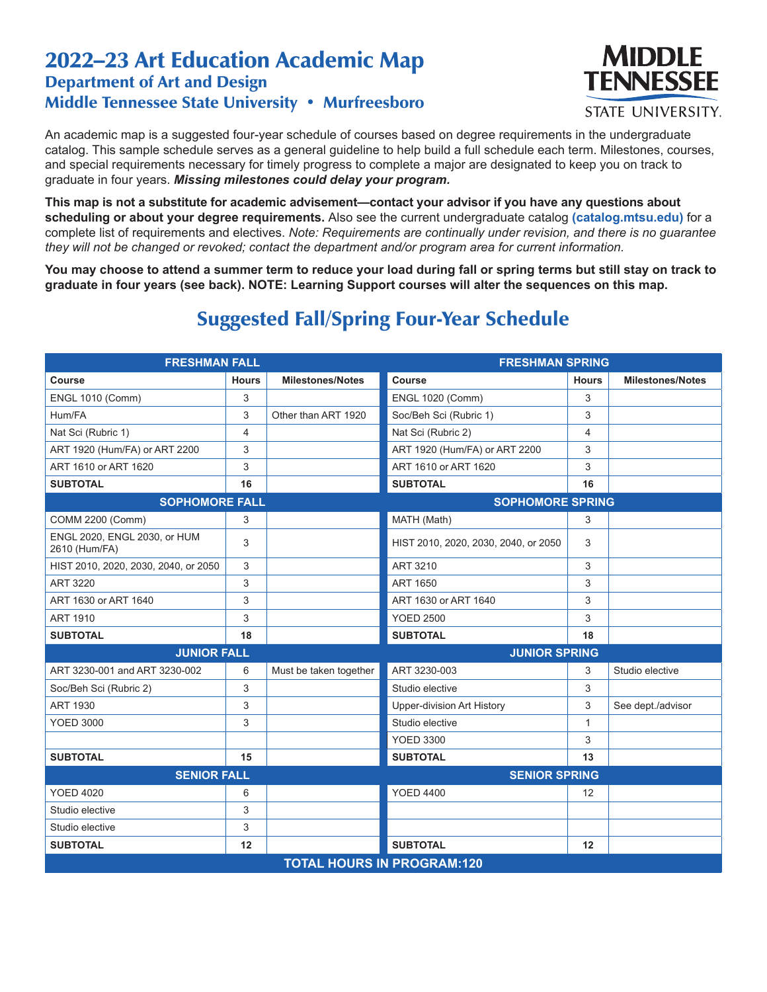## 2022–23 Art Education Academic Map Department of Art and Design Middle Tennessee State University • Murfreesboro



An academic map is a suggested four-year schedule of courses based on degree requirements in the undergraduate catalog. This sample schedule serves as a general guideline to help build a full schedule each term. Milestones, courses, and special requirements necessary for timely progress to complete a major are designated to keep you on track to graduate in four years. *Missing milestones could delay your program.*

**This map is not a substitute for academic advisement—contact your advisor if you have any questions about scheduling or about your degree requirements.** Also see the current undergraduate catalog **(catalog.mtsu.edu)** for a complete list of requirements and electives. *Note: Requirements are continually under revision, and there is no guarantee they will not be changed or revoked; contact the department and/or program area for current information.*

**You may choose to attend a summer term to reduce your load during fall or spring terms but still stay on track to graduate in four years (see back). NOTE: Learning Support courses will alter the sequences on this map.**

## Suggested Fall/Spring Four-Year Schedule

| <b>FRESHMAN FALL</b>                          |                |                         | <b>FRESHMAN SPRING</b>               |              |                         |  |  |  |
|-----------------------------------------------|----------------|-------------------------|--------------------------------------|--------------|-------------------------|--|--|--|
| Course                                        | <b>Hours</b>   | <b>Milestones/Notes</b> | Course                               | <b>Hours</b> | <b>Milestones/Notes</b> |  |  |  |
| <b>ENGL 1010 (Comm)</b>                       | 3              |                         | <b>ENGL 1020 (Comm)</b>              | 3            |                         |  |  |  |
| Hum/FA                                        | 3              | Other than ART 1920     | Soc/Beh Sci (Rubric 1)               | 3            |                         |  |  |  |
| Nat Sci (Rubric 1)                            | $\overline{4}$ |                         | Nat Sci (Rubric 2)                   | 4            |                         |  |  |  |
| ART 1920 (Hum/FA) or ART 2200                 | 3              |                         | ART 1920 (Hum/FA) or ART 2200        | 3            |                         |  |  |  |
| ART 1610 or ART 1620                          | 3              |                         | ART 1610 or ART 1620                 | 3            |                         |  |  |  |
| <b>SUBTOTAL</b>                               | 16             |                         | <b>SUBTOTAL</b>                      | 16           |                         |  |  |  |
| <b>SOPHOMORE FALL</b>                         |                |                         | <b>SOPHOMORE SPRING</b>              |              |                         |  |  |  |
| <b>COMM 2200 (Comm)</b>                       | 3              |                         | MATH (Math)                          | 3            |                         |  |  |  |
| ENGL 2020, ENGL 2030, or HUM<br>2610 (Hum/FA) | 3              |                         | HIST 2010, 2020, 2030, 2040, or 2050 | 3            |                         |  |  |  |
| HIST 2010, 2020, 2030, 2040, or 2050          | 3              |                         | ART 3210                             | 3            |                         |  |  |  |
| <b>ART 3220</b>                               | 3              |                         | <b>ART 1650</b>                      | 3            |                         |  |  |  |
| ART 1630 or ART 1640                          | 3              |                         | ART 1630 or ART 1640                 | 3            |                         |  |  |  |
| <b>ART 1910</b>                               | 3              |                         | <b>YOED 2500</b>                     | 3            |                         |  |  |  |
| <b>SUBTOTAL</b>                               | 18             |                         | <b>SUBTOTAL</b>                      | 18           |                         |  |  |  |
| <b>JUNIOR FALL</b><br><b>JUNIOR SPRING</b>    |                |                         |                                      |              |                         |  |  |  |
| ART 3230-001 and ART 3230-002                 | 6              | Must be taken together  | ART 3230-003                         | 3            | Studio elective         |  |  |  |
| Soc/Beh Sci (Rubric 2)                        | 3              |                         | Studio elective                      | 3            |                         |  |  |  |
| <b>ART 1930</b>                               | 3              |                         | <b>Upper-division Art History</b>    | 3            | See dept./advisor       |  |  |  |
| <b>YOED 3000</b>                              | 3              |                         | Studio elective                      | 1            |                         |  |  |  |
|                                               |                |                         | <b>YOED 3300</b>                     | 3            |                         |  |  |  |
| <b>SUBTOTAL</b>                               | 15             |                         | <b>SUBTOTAL</b>                      | 13           |                         |  |  |  |
| <b>SENIOR FALL</b>                            |                |                         | <b>SENIOR SPRING</b>                 |              |                         |  |  |  |
| <b>YOED 4020</b>                              | 6              |                         | <b>YOED 4400</b>                     | 12           |                         |  |  |  |
| Studio elective                               | 3              |                         |                                      |              |                         |  |  |  |
| Studio elective                               | 3              |                         |                                      |              |                         |  |  |  |
| <b>SUBTOTAL</b>                               | 12             |                         | <b>SUBTOTAL</b>                      | 12           |                         |  |  |  |
| <b>TOTAL HOURS IN PROGRAM:120</b>             |                |                         |                                      |              |                         |  |  |  |